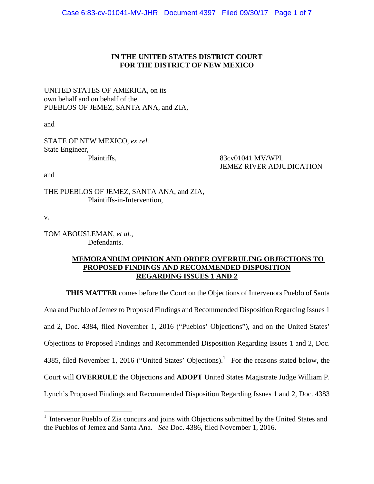# **IN THE UNITED STATES DISTRICT COURT FOR THE DISTRICT OF NEW MEXICO**

UNITED STATES OF AMERICA, on its own behalf and on behalf of the PUEBLOS OF JEMEZ, SANTA ANA, and ZIA,

and

STATE OF NEW MEXICO, *ex rel.* State Engineer,

Plaintiffs, 83cv01041 MV/WPL JEMEZ RIVER ADJUDICATION

and

THE PUEBLOS OF JEMEZ, SANTA ANA, and ZIA, Plaintiffs-in-Intervention,

v.

 $\overline{a}$ 

TOM ABOUSLEMAN, *et al.*, Defendants.

# **MEMORANDUM OPINION AND ORDER OVERRULING OBJECTIONS TO PROPOSED FINDINGS AND RECOMMENDED DISPOSITION REGARDING ISSUES 1 AND 2**

**THIS MATTER** comes before the Court on the Objections of Intervenors Pueblo of Santa Ana and Pueblo of Jemez to Proposed Findings and Recommended Disposition Regarding Issues 1 and 2, Doc. 4384, filed November 1, 2016 ("Pueblos' Objections"), and on the United States' Objections to Proposed Findings and Recommended Disposition Regarding Issues 1 and 2, Doc. 4385, filed November 1, 2016 ("United States' Objections).<sup>1</sup> For the reasons stated below, the Court will **OVERRULE** the Objections and **ADOPT** United States Magistrate Judge William P. Lynch's Proposed Findings and Recommended Disposition Regarding Issues 1 and 2, Doc. 4383

<sup>&</sup>lt;sup>1</sup> Intervenor Pueblo of Zia concurs and joins with Objections submitted by the United States and the Pueblos of Jemez and Santa Ana. *See* Doc. 4386, filed November 1, 2016.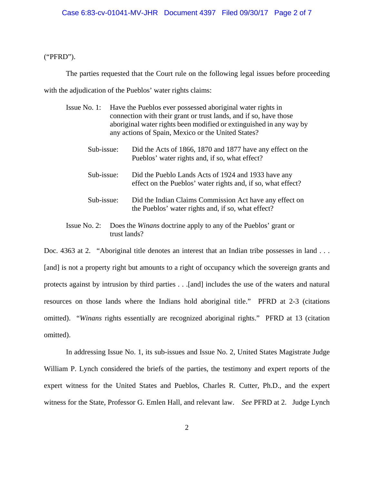("PFRD").

The parties requested that the Court rule on the following legal issues before proceeding

with the adjudication of the Pueblos' water rights claims:

trust lands?

| Issue No. 1:<br>Have the Pueblos ever possessed aboriginal water rights in<br>connection with their grant or trust lands, and if so, have those<br>aboriginal water rights been modified or extinguished in any way by<br>any actions of Spain, Mexico or the United States? |  |                                                                                                                     |
|------------------------------------------------------------------------------------------------------------------------------------------------------------------------------------------------------------------------------------------------------------------------------|--|---------------------------------------------------------------------------------------------------------------------|
| Sub-issue:                                                                                                                                                                                                                                                                   |  | Did the Acts of 1866, 1870 and 1877 have any effect on the<br>Pueblos' water rights and, if so, what effect?        |
| Sub-issue:                                                                                                                                                                                                                                                                   |  | Did the Pueblo Lands Acts of 1924 and 1933 have any<br>effect on the Pueblos' water rights and, if so, what effect? |
| Sub-issue:                                                                                                                                                                                                                                                                   |  | Did the Indian Claims Commission Act have any effect on<br>the Pueblos' water rights and, if so, what effect?       |
| Issue No. 2:                                                                                                                                                                                                                                                                 |  | Does the <i>Winans</i> doctrine apply to any of the Pueblos' grant or                                               |

Doc. 4363 at 2. "Aboriginal title denotes an interest that an Indian tribe possesses in land . . . [and] is not a property right but amounts to a right of occupancy which the sovereign grants and protects against by intrusion by third parties . . .[and] includes the use of the waters and natural resources on those lands where the Indians hold aboriginal title." PFRD at 2-3 (citations omitted). "*Winans* rights essentially are recognized aboriginal rights." PFRD at 13 (citation omitted).

 In addressing Issue No. 1, its sub-issues and Issue No. 2, United States Magistrate Judge William P. Lynch considered the briefs of the parties, the testimony and expert reports of the expert witness for the United States and Pueblos, Charles R. Cutter, Ph.D., and the expert witness for the State, Professor G. Emlen Hall, and relevant law. *See* PFRD at 2. Judge Lynch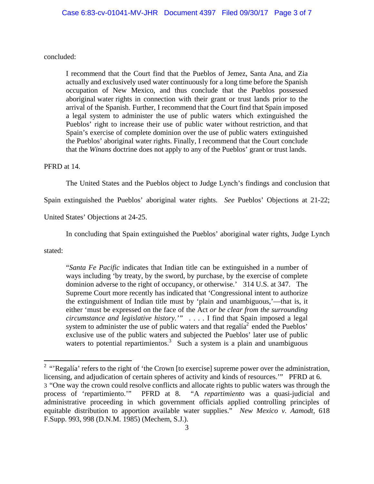concluded:

I recommend that the Court find that the Pueblos of Jemez, Santa Ana, and Zia actually and exclusively used water continuously for a long time before the Spanish occupation of New Mexico, and thus conclude that the Pueblos possessed aboriginal water rights in connection with their grant or trust lands prior to the arrival of the Spanish. Further, I recommend that the Court find that Spain imposed a legal system to administer the use of public waters which extinguished the Pueblos' right to increase their use of public water without restriction, and that Spain's exercise of complete dominion over the use of public waters extinguished the Pueblos' aboriginal water rights. Finally, I recommend that the Court conclude that the *Winans* doctrine does not apply to any of the Pueblos' grant or trust lands.

### PFRD at 14.

The United States and the Pueblos object to Judge Lynch's findings and conclusion that

Spain extinguished the Pueblos' aboriginal water rights. *See* Pueblos' Objections at 21-22;

United States' Objections at 24-25.

In concluding that Spain extinguished the Pueblos' aboriginal water rights, Judge Lynch

stated:

"*Santa Fe Pacific* indicates that Indian title can be extinguished in a number of ways including 'by treaty, by the sword, by purchase, by the exercise of complete dominion adverse to the right of occupancy, or otherwise.' 314 U.S. at 347. The Supreme Court more recently has indicated that 'Congressional intent to authorize the extinguishment of Indian title must by 'plain and unambiguous,'—that is, it either 'must be expressed on the face of the Act *or be clear from the surrounding circumstance and legislative history.'"* . . . . I find that Spain imposed a legal system to administer the use of public waters and that regalía<sup>2</sup> ended the Pueblos' exclusive use of the public waters and subjected the Pueblos' later use of public waters to potential repartimientos.<sup>3</sup> Such a system is a plain and unambiguous

<sup>&</sup>lt;sup>2</sup> "Regalía' refers to the right of 'the Crown [to exercise] supreme power over the administration, licensing, and adjudication of certain spheres of activity and kinds of resources.'" PFRD at 6. 3 "One way the crown could resolve conflicts and allocate rights to public waters was through the process of 'repartimiento.'" PFRD at 8. "A *repartimiento* was a quasi-judicial and administrative proceeding in which government officials applied controlling principles of equitable distribution to apportion available water supplies." *New Mexico v. Aamodt*, 618 F.Supp. 993, 998 (D.N.M. 1985) (Mechem, S.J.).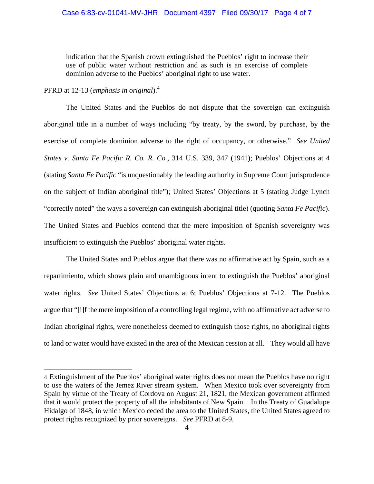indication that the Spanish crown extinguished the Pueblos' right to increase their use of public water without restriction and as such is an exercise of complete dominion adverse to the Pueblos' aboriginal right to use water.

PFRD at 12-13 (*emphasis in original*).<sup>4</sup>

 $\overline{a}$ 

 The United States and the Pueblos do not dispute that the sovereign can extinguish aboriginal title in a number of ways including "by treaty, by the sword, by purchase, by the exercise of complete dominion adverse to the right of occupancy, or otherwise." *See United States v. Santa Fe Pacific R. Co. R. Co.*, 314 U.S. 339, 347 (1941); Pueblos' Objections at 4 (stating *Santa Fe Pacific* "is unquestionably the leading authority in Supreme Court jurisprudence on the subject of Indian aboriginal title"); United States' Objections at 5 (stating Judge Lynch "correctly noted" the ways a sovereign can extinguish aboriginal title) (quoting *Santa Fe Pacific*). The United States and Pueblos contend that the mere imposition of Spanish sovereignty was insufficient to extinguish the Pueblos' aboriginal water rights.

 The United States and Pueblos argue that there was no affirmative act by Spain, such as a repartimiento, which shows plain and unambiguous intent to extinguish the Pueblos' aboriginal water rights. *See* United States' Objections at 6; Pueblos' Objections at 7-12. The Pueblos argue that "[i]f the mere imposition of a controlling legal regime, with no affirmative act adverse to Indian aboriginal rights, were nonetheless deemed to extinguish those rights, no aboriginal rights to land or water would have existed in the area of the Mexican cession at all. They would all have

<sup>4</sup> Extinguishment of the Pueblos' aboriginal water rights does not mean the Pueblos have no right to use the waters of the Jemez River stream system. When Mexico took over sovereignty from Spain by virtue of the Treaty of Cordova on August 21, 1821, the Mexican government affirmed that it would protect the property of all the inhabitants of New Spain. In the Treaty of Guadalupe Hidalgo of 1848, in which Mexico ceded the area to the United States, the United States agreed to protect rights recognized by prior sovereigns. *See* PFRD at 8-9.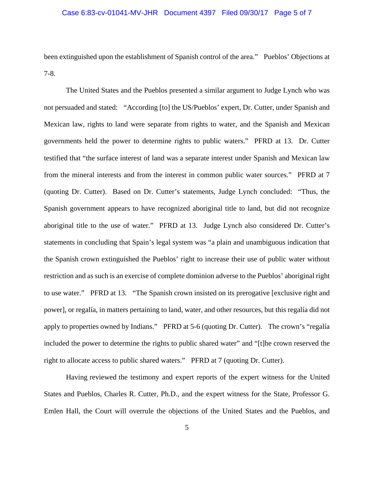### Case 6:83-cv-01041-MV-JHR Document 4397 Filed 09/30/17 Page 5 of 7

been extinguished upon the establishment of Spanish control of the area." Pueblos' Objections at 7-8.

 The United States and the Pueblos presented a similar argument to Judge Lynch who was not persuaded and stated: "According [to] the US/Pueblos' expert, Dr. Cutter, under Spanish and Mexican law, rights to land were separate from rights to water, and the Spanish and Mexican governments held the power to determine rights to public waters." PFRD at 13. Dr. Cutter testified that "the surface interest of land was a separate interest under Spanish and Mexican law from the mineral interests and from the interest in common public water sources." PFRD at 7 (quoting Dr. Cutter). Based on Dr. Cutter's statements, Judge Lynch concluded: "Thus, the Spanish government appears to have recognized aboriginal title to land, but did not recognize aboriginal title to the use of water." PFRD at 13. Judge Lynch also considered Dr. Cutter's statements in concluding that Spain's legal system was "a plain and unambiguous indication that the Spanish crown extinguished the Pueblos' right to increase their use of public water without restriction and as such is an exercise of complete dominion adverse to the Pueblos' aboriginal right to use water." PFRD at 13. "The Spanish crown insisted on its prerogative [exclusive right and power], or regalía, in matters pertaining to land, water, and other resources, but this regalía did not apply to properties owned by Indians." PFRD at 5-6 (quoting Dr. Cutter). The crown's "regalía included the power to determine the rights to public shared water" and "[t]he crown reserved the right to allocate access to public shared waters." PFRD at 7 (quoting Dr. Cutter).

 Having reviewed the testimony and expert reports of the expert witness for the United States and Pueblos, Charles R. Cutter, Ph.D., and the expert witness for the State, Professor G. Emlen Hall, the Court will overrule the objections of the United States and the Pueblos, and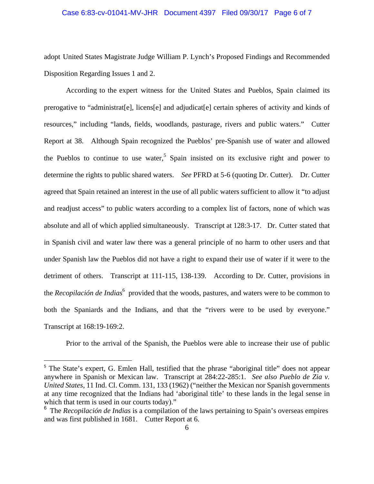### Case 6:83-cv-01041-MV-JHR Document 4397 Filed 09/30/17 Page 6 of 7

adopt United States Magistrate Judge William P. Lynch's Proposed Findings and Recommended Disposition Regarding Issues 1 and 2.

 According to the expert witness for the United States and Pueblos, Spain claimed its prerogative to "administrat[e], licens[e] and adjudicat[e] certain spheres of activity and kinds of resources," including "lands, fields, woodlands, pasturage, rivers and public waters." Cutter Report at 38. Although Spain recognized the Pueblos' pre-Spanish use of water and allowed the Pueblos to continue to use water,<sup>5</sup> Spain insisted on its exclusive right and power to determine the rights to public shared waters. *See* PFRD at 5-6 (quoting Dr. Cutter). Dr. Cutter agreed that Spain retained an interest in the use of all public waters sufficient to allow it "to adjust and readjust access" to public waters according to a complex list of factors, none of which was absolute and all of which applied simultaneously. Transcript at 128:3-17. Dr. Cutter stated that in Spanish civil and water law there was a general principle of no harm to other users and that under Spanish law the Pueblos did not have a right to expand their use of water if it were to the detriment of others. Transcript at 111-115, 138-139. According to Dr. Cutter, provisions in the *Recopilación de Indias*<sup>6</sup> provided that the woods, pastures, and waters were to be common to both the Spaniards and the Indians, and that the "rivers were to be used by everyone." Transcript at 168:19-169:2.

Prior to the arrival of the Spanish, the Pueblos were able to increase their use of public

 $\overline{a}$ 

<sup>5</sup> The State's expert, G. Emlen Hall, testified that the phrase "aboriginal title" does not appear anywhere in Spanish or Mexican law. Transcript at 284:22-285:1. *See also Pueblo de Zia v. United States*, 11 Ind. Cl. Comm. 131, 133 (1962) ("neither the Mexican nor Spanish governments at any time recognized that the Indians had 'aboriginal title' to these lands in the legal sense in which that term is used in our courts today)."

<sup>6</sup> The *Recopilación de Indias* is a compilation of the laws pertaining to Spain's overseas empires and was first published in 1681. Cutter Report at 6.